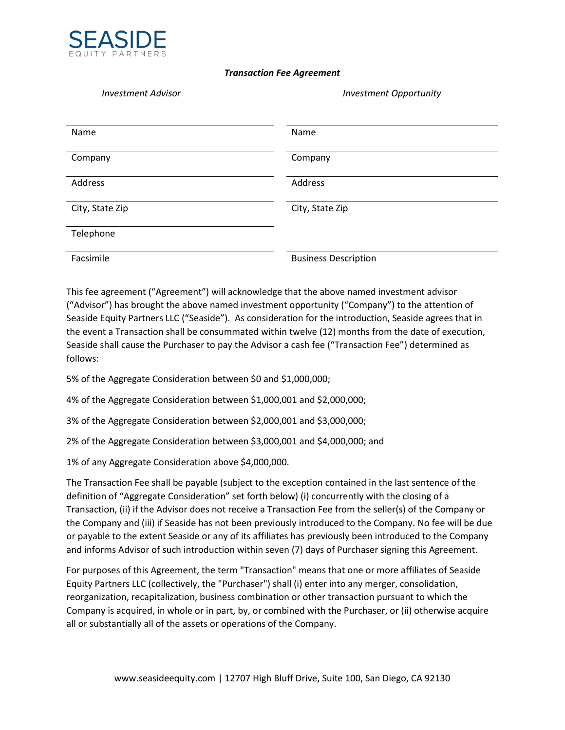

## *Transaction Fee Agreement*

*Investment Advisor Investment Opportunity*

| Name            | Name                        |
|-----------------|-----------------------------|
| Company         | Company                     |
| Address         | Address                     |
| City, State Zip | City, State Zip             |
| Telephone       |                             |
| Facsimile       | <b>Business Description</b> |

This fee agreement ("Agreement") will acknowledge that the above named investment advisor ("Advisor") has brought the above named investment opportunity ("Company") to the attention of Seaside Equity Partners LLC ("Seaside"). As consideration for the introduction, Seaside agrees that in the event a Transaction shall be consummated within twelve (12) months from the date of execution, Seaside shall cause the Purchaser to pay the Advisor a cash fee ("Transaction Fee") determined as follows:

5% of the Aggregate Consideration between \$0 and \$1,000,000;

4% of the Aggregate Consideration between \$1,000,001 and \$2,000,000;

3% of the Aggregate Consideration between \$2,000,001 and \$3,000,000;

2% of the Aggregate Consideration between \$3,000,001 and \$4,000,000; and

1% of any Aggregate Consideration above \$4,000,000.

The Transaction Fee shall be payable (subject to the exception contained in the last sentence of the definition of "Aggregate Consideration" set forth below) (i) concurrently with the closing of a Transaction, (ii) if the Advisor does not receive a Transaction Fee from the seller(s) of the Company or the Company and (iii) if Seaside has not been previously introduced to the Company. No fee will be due or payable to the extent Seaside or any of its affiliates has previously been introduced to the Company and informs Advisor of such introduction within seven (7) days of Purchaser signing this Agreement.

For purposes of this Agreement, the term "Transaction" means that one or more affiliates of Seaside Equity Partners LLC (collectively, the "Purchaser") shall (i) enter into any merger, consolidation, reorganization, recapitalization, business combination or other transaction pursuant to which the Company is acquired, in whole or in part, by, or combined with the Purchaser, or (ii) otherwise acquire all or substantially all of the assets or operations of the Company.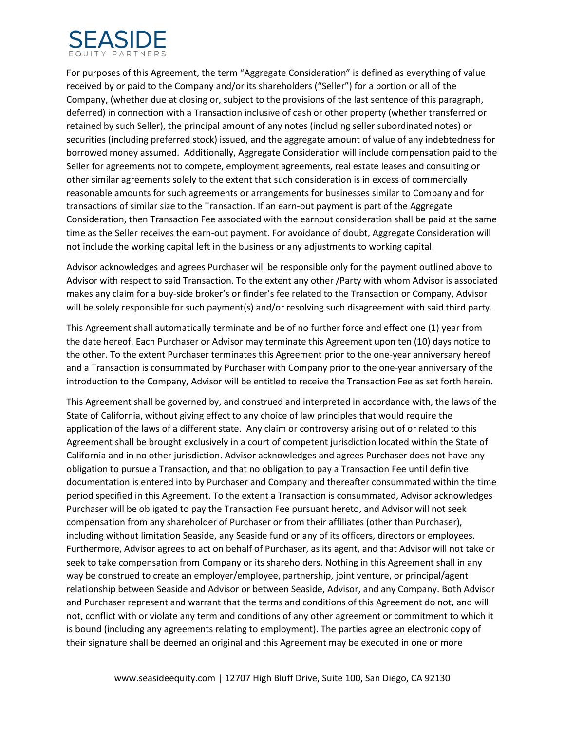

For purposes of this Agreement, the term "Aggregate Consideration" is defined as everything of value received by or paid to the Company and/or its shareholders ("Seller") for a portion or all of the Company, (whether due at closing or, subject to the provisions of the last sentence of this paragraph, deferred) in connection with a Transaction inclusive of cash or other property (whether transferred or retained by such Seller), the principal amount of any notes (including seller subordinated notes) or securities (including preferred stock) issued, and the aggregate amount of value of any indebtedness for borrowed money assumed. Additionally, Aggregate Consideration will include compensation paid to the Seller for agreements not to compete, employment agreements, real estate leases and consulting or other similar agreements solely to the extent that such consideration is in excess of commercially reasonable amounts for such agreements or arrangements for businesses similar to Company and for transactions of similar size to the Transaction. If an earn-out payment is part of the Aggregate Consideration, then Transaction Fee associated with the earnout consideration shall be paid at the same time as the Seller receives the earn-out payment. For avoidance of doubt, Aggregate Consideration will not include the working capital left in the business or any adjustments to working capital.

Advisor acknowledges and agrees Purchaser will be responsible only for the payment outlined above to Advisor with respect to said Transaction. To the extent any other /Party with whom Advisor is associated makes any claim for a buy-side broker's or finder's fee related to the Transaction or Company, Advisor will be solely responsible for such payment(s) and/or resolving such disagreement with said third party.

This Agreement shall automatically terminate and be of no further force and effect one (1) year from the date hereof. Each Purchaser or Advisor may terminate this Agreement upon ten (10) days notice to the other. To the extent Purchaser terminates this Agreement prior to the one-year anniversary hereof and a Transaction is consummated by Purchaser with Company prior to the one-year anniversary of the introduction to the Company, Advisor will be entitled to receive the Transaction Fee as set forth herein.

This Agreement shall be governed by, and construed and interpreted in accordance with, the laws of the State of California, without giving effect to any choice of law principles that would require the application of the laws of a different state. Any claim or controversy arising out of or related to this Agreement shall be brought exclusively in a court of competent jurisdiction located within the State of California and in no other jurisdiction. Advisor acknowledges and agrees Purchaser does not have any obligation to pursue a Transaction, and that no obligation to pay a Transaction Fee until definitive documentation is entered into by Purchaser and Company and thereafter consummated within the time period specified in this Agreement. To the extent a Transaction is consummated, Advisor acknowledges Purchaser will be obligated to pay the Transaction Fee pursuant hereto, and Advisor will not seek compensation from any shareholder of Purchaser or from their affiliates (other than Purchaser), including without limitation Seaside, any Seaside fund or any of its officers, directors or employees. Furthermore, Advisor agrees to act on behalf of Purchaser, as its agent, and that Advisor will not take or seek to take compensation from Company or its shareholders. Nothing in this Agreement shall in any way be construed to create an employer/employee, partnership, joint venture, or principal/agent relationship between Seaside and Advisor or between Seaside, Advisor, and any Company. Both Advisor and Purchaser represent and warrant that the terms and conditions of this Agreement do not, and will not, conflict with or violate any term and conditions of any other agreement or commitment to which it is bound (including any agreements relating to employment). The parties agree an electronic copy of their signature shall be deemed an original and this Agreement may be executed in one or more